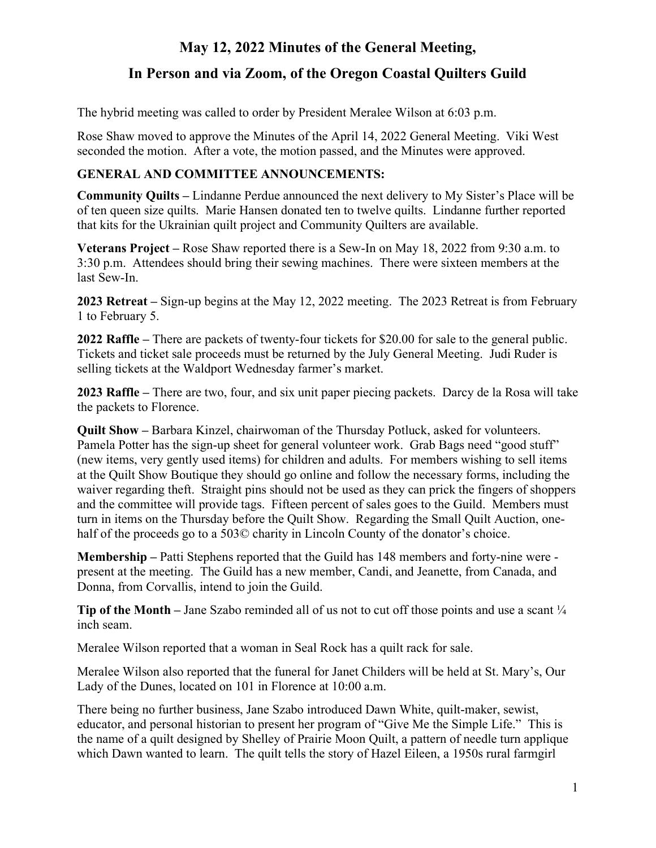# **May 12, 2022 Minutes of the General Meeting,**

## **In Person and via Zoom, of the Oregon Coastal Quilters Guild**

The hybrid meeting was called to order by President Meralee Wilson at 6:03 p.m.

Rose Shaw moved to approve the Minutes of the April 14, 2022 General Meeting. Viki West seconded the motion. After a vote, the motion passed, and the Minutes were approved.

#### **GENERAL AND COMMITTEE ANNOUNCEMENTS:**

**Community Quilts –** Lindanne Perdue announced the next delivery to My Sister's Place will be of ten queen size quilts. Marie Hansen donated ten to twelve quilts. Lindanne further reported that kits for the Ukrainian quilt project and Community Quilters are available.

**Veterans Project –** Rose Shaw reported there is a Sew-In on May 18, 2022 from 9:30 a.m. to 3:30 p.m. Attendees should bring their sewing machines. There were sixteen members at the last Sew-In.

**2023 Retreat –** Sign-up begins at the May 12, 2022 meeting. The 2023 Retreat is from February 1 to February 5.

**2022 Raffle –** There are packets of twenty-four tickets for \$20.00 for sale to the general public. Tickets and ticket sale proceeds must be returned by the July General Meeting. Judi Ruder is selling tickets at the Waldport Wednesday farmer's market.

**2023 Raffle –** There are two, four, and six unit paper piecing packets. Darcy de la Rosa will take the packets to Florence.

**Quilt Show –** Barbara Kinzel, chairwoman of the Thursday Potluck, asked for volunteers. Pamela Potter has the sign-up sheet for general volunteer work. Grab Bags need "good stuff" (new items, very gently used items) for children and adults. For members wishing to sell items at the Quilt Show Boutique they should go online and follow the necessary forms, including the waiver regarding theft. Straight pins should not be used as they can prick the fingers of shoppers and the committee will provide tags. Fifteen percent of sales goes to the Guild. Members must turn in items on the Thursday before the Quilt Show. Regarding the Small Quilt Auction, onehalf of the proceeds go to a 503© charity in Lincoln County of the donator's choice.

**Membership –** Patti Stephens reported that the Guild has 148 members and forty-nine were present at the meeting. The Guild has a new member, Candi, and Jeanette, from Canada, and Donna, from Corvallis, intend to join the Guild.

**Tip of the Month** – Jane Szabo reminded all of us not to cut off those points and use a scant  $\frac{1}{4}$ inch seam.

Meralee Wilson reported that a woman in Seal Rock has a quilt rack for sale.

Meralee Wilson also reported that the funeral for Janet Childers will be held at St. Mary's, Our Lady of the Dunes, located on 101 in Florence at 10:00 a.m.

There being no further business, Jane Szabo introduced Dawn White, quilt-maker, sewist, educator, and personal historian to present her program of "Give Me the Simple Life." This is the name of a quilt designed by Shelley of Prairie Moon Quilt, a pattern of needle turn applique which Dawn wanted to learn. The quilt tells the story of Hazel Eileen, a 1950s rural farmgirl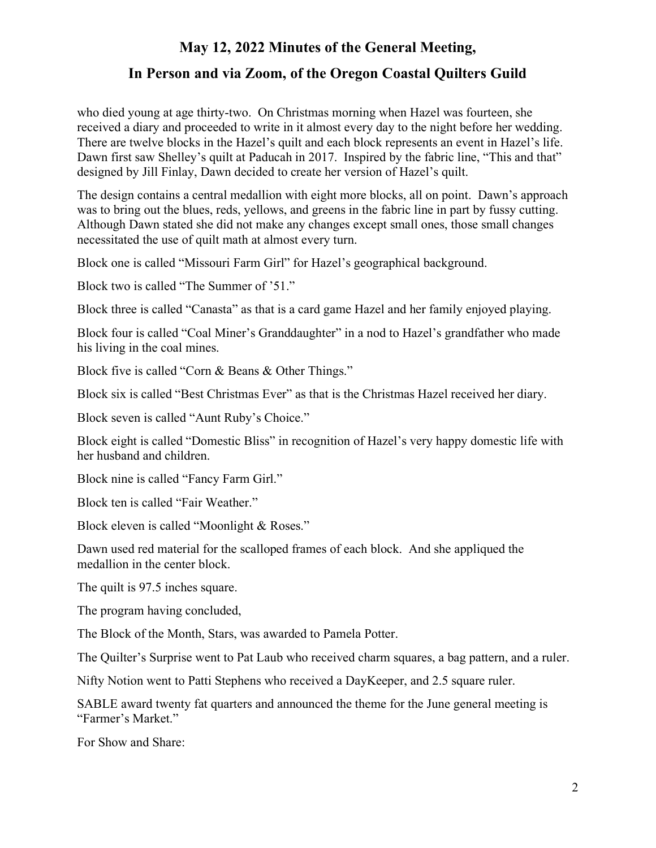### **May 12, 2022 Minutes of the General Meeting,**

## **In Person and via Zoom, of the Oregon Coastal Quilters Guild**

who died young at age thirty-two. On Christmas morning when Hazel was fourteen, she received a diary and proceeded to write in it almost every day to the night before her wedding. There are twelve blocks in the Hazel's quilt and each block represents an event in Hazel's life. Dawn first saw Shelley's quilt at Paducah in 2017. Inspired by the fabric line, "This and that" designed by Jill Finlay, Dawn decided to create her version of Hazel's quilt.

The design contains a central medallion with eight more blocks, all on point. Dawn's approach was to bring out the blues, reds, yellows, and greens in the fabric line in part by fussy cutting. Although Dawn stated she did not make any changes except small ones, those small changes necessitated the use of quilt math at almost every turn.

Block one is called "Missouri Farm Girl" for Hazel's geographical background.

Block two is called "The Summer of '51."

Block three is called "Canasta" as that is a card game Hazel and her family enjoyed playing.

Block four is called "Coal Miner's Granddaughter" in a nod to Hazel's grandfather who made his living in the coal mines.

Block five is called "Corn & Beans & Other Things."

Block six is called "Best Christmas Ever" as that is the Christmas Hazel received her diary.

Block seven is called "Aunt Ruby's Choice."

Block eight is called "Domestic Bliss" in recognition of Hazel's very happy domestic life with her husband and children.

Block nine is called "Fancy Farm Girl."

Block ten is called "Fair Weather."

Block eleven is called "Moonlight & Roses."

Dawn used red material for the scalloped frames of each block. And she appliqued the medallion in the center block.

The quilt is 97.5 inches square.

The program having concluded,

The Block of the Month, Stars, was awarded to Pamela Potter.

The Quilter's Surprise went to Pat Laub who received charm squares, a bag pattern, and a ruler.

Nifty Notion went to Patti Stephens who received a DayKeeper, and 2.5 square ruler.

SABLE award twenty fat quarters and announced the theme for the June general meeting is "Farmer's Market."

For Show and Share: